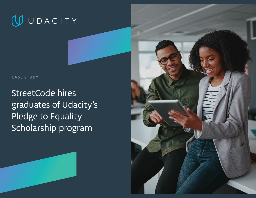

**CASE STUDY**

StreetCode hires graduates of Udacity's Pledge to Equality Scholarship program



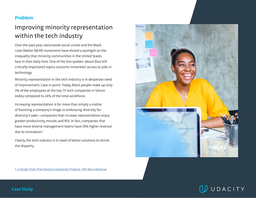## **Problem**

## Improving minority representation within the tech industry

Over the past year, nationwide social unrest and the Black Lives Matter (BLM) movement have shined a spotlight on the inequality that minority communities in the United States face in their daily lives. One of the less spoken-about (but still critically important) topics concerns minorities' access to jobs in technology.

Minority representation in the tech industry is in desperate need of improvement. Case in point: Today, Black people make up only 3% of the employees at the top 75 tech companies in Silicon Valley compared to 24% of the total workforce.

Increasing representation is far more than simply a matter of boosting a company's image or embracing diversity for diversity's sake—companies that increase representation enjoy greater productivity, morale, and ROI. In fact, companies that have more diverse management teams have 19% higher revenue due to innovation. $<sup>1</sup>$ </sup>

Clearly, the tech industry is in need of better solutions to shrink the disparity.



[1. A](https://www.forbes.com/sites/annapowers/2018/06/27/a-study-finds-that-diverse-companies-produce-19-more-revenue/?sh=5b5b6aff506f) Study Finds That Diverse Companies Produce 19% More Revenue

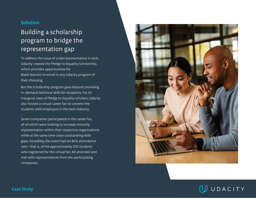#### **Solution**

# Building a scholarship program to bridge the representation gap

To address the issue of underrepresentation in tech, Udacity created the Pledge to Equality Scholarship, which provides opportunities for Black learners to enroll in any Udacity program of their choosing.

But the scholarship program goes beyond providing in-demand technical skills for recipients. For its inaugural class of Pledge to Equality scholars, Udacity also hosted a virtual career fair to connect the students with employers in the tech industry.

Seven companies participated in the career fair, all of which were looking to increase minority representation within their respective organizations while at the same time close outstanding skills gaps. Incredibly, the event had an 86% attendance rate—that is, of the approximately 100 students who registered for the virtual fair, 84 attended and met with representatives from the participating companies.



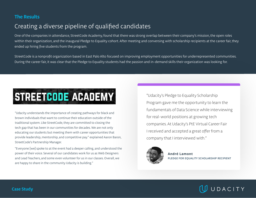### **The Results**

## Creating a diverse pipeline of qualified candidates

One of the companies in attendance, StreetCode Academy, found that there was strong overlap between their company's mission, the open roles within their organization, and the inaugural Pledge to Equality cohort. After meeting and conversing with scholarship recipients at the career fair, they ended up hiring five students from the program.

StreetCode is a nonprofit organization based in East Palo Alto focused on improving employment opportunities for underrepresented communities. During the career fair, it was clear that the Pledge to Equality students had the passion and in-demand skills their organization was looking for.

# STREETCODE ACADEMY

"Udacity understands the importance of creating pathways for black and brown individuals that want to continue their education outside of the traditional system. Like StreetCode, they are committed to closing the tech gap that has been in our communities for decades. We are not only educating our students but meeting them with career opportunities that provide leadership, mentorship, and competitive pay." explained Aaron Baron, StreetCode's Partnership Manager.

"Everyone [we] spoke to at the event had a deeper calling, and understood the power of their voice. Several of our candidates work for us as Web Designers and Lead Teachers, and some even volunteer for us in our classes. Overall, we are happy to share in the community Udacity is building."

"Udacity's Pledge to Equality Scholarship Program gave me the opportunity to learn the fundamentals of Data Science while interviewing for real-world positions at growing tech companies. At Udacity's PtE Virtual Career Fair I received and accepted a great offer from a company that I interviewed with."



**André Lamont PLEDGE FOR EQUALITY SCHOLARSHIP RECIPIENT**